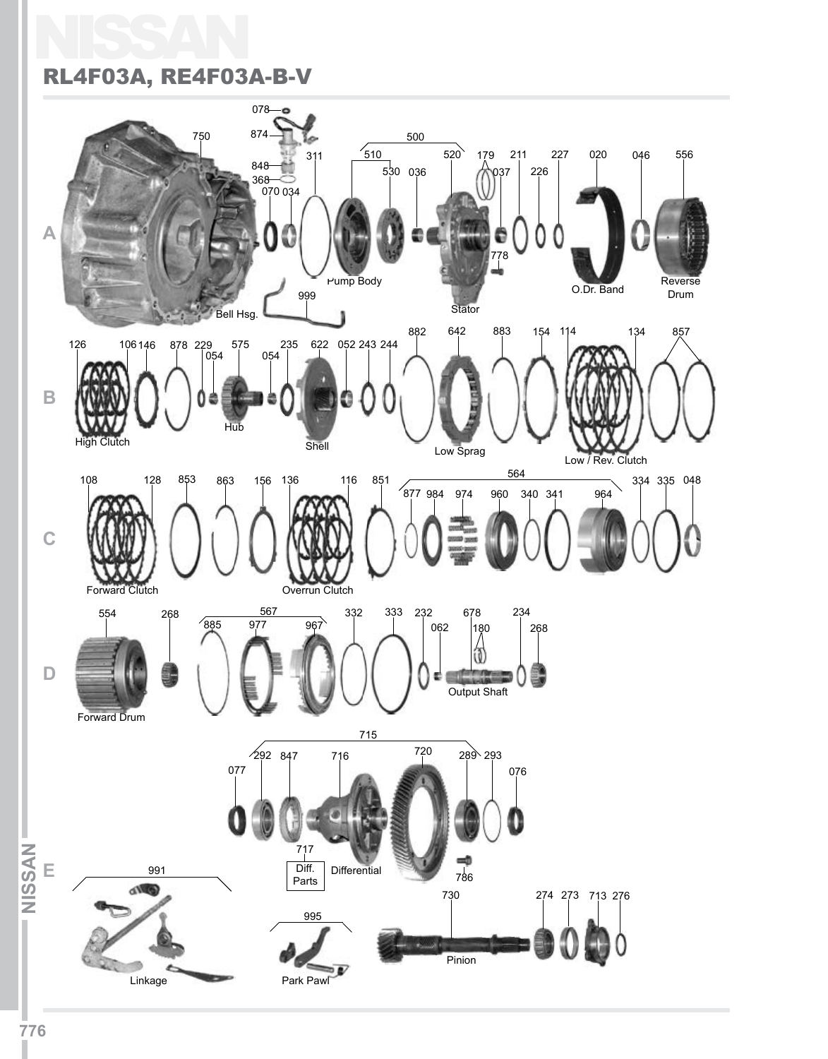## NISSAN RL4F03A, RE4F03A-B-V